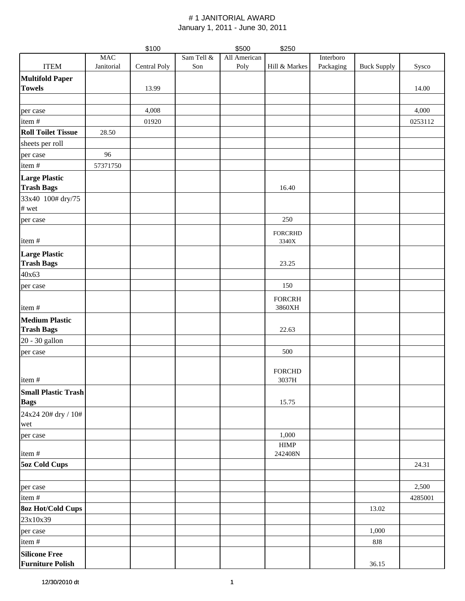|                                                 |            | \$100        |            | \$500        | \$250                   |           |                    |         |
|-------------------------------------------------|------------|--------------|------------|--------------|-------------------------|-----------|--------------------|---------|
|                                                 | <b>MAC</b> |              | Sam Tell & | All American |                         | Interboro |                    |         |
| <b>ITEM</b>                                     | Janitorial | Central Poly | Son        | Poly         | Hill & Markes           | Packaging | <b>Buck Supply</b> | Sysco   |
| <b>Multifold Paper</b>                          |            |              |            |              |                         |           |                    |         |
| <b>Towels</b>                                   |            | 13.99        |            |              |                         |           |                    | 14.00   |
|                                                 |            |              |            |              |                         |           |                    |         |
| per case                                        |            | 4,008        |            |              |                         |           |                    | 4,000   |
| item#                                           |            | 01920        |            |              |                         |           |                    | 0253112 |
| <b>Roll Toilet Tissue</b>                       | 28.50      |              |            |              |                         |           |                    |         |
| sheets per roll                                 |            |              |            |              |                         |           |                    |         |
|                                                 | 96         |              |            |              |                         |           |                    |         |
| per case                                        |            |              |            |              |                         |           |                    |         |
| item#                                           | 57371750   |              |            |              |                         |           |                    |         |
| <b>Large Plastic</b><br><b>Trash Bags</b>       |            |              |            |              | 16.40                   |           |                    |         |
| 33x40 100# dry/75                               |            |              |            |              |                         |           |                    |         |
| # wet                                           |            |              |            |              |                         |           |                    |         |
| per case                                        |            |              |            |              | 250                     |           |                    |         |
|                                                 |            |              |            |              |                         |           |                    |         |
| item#                                           |            |              |            |              | <b>FORCRHD</b><br>3340X |           |                    |         |
| <b>Large Plastic</b>                            |            |              |            |              |                         |           |                    |         |
| <b>Trash Bags</b>                               |            |              |            |              | 23.25                   |           |                    |         |
| 40x63                                           |            |              |            |              |                         |           |                    |         |
| per case                                        |            |              |            |              | 150                     |           |                    |         |
|                                                 |            |              |            |              | <b>FORCRH</b>           |           |                    |         |
| item#                                           |            |              |            |              | 3860XH                  |           |                    |         |
| <b>Medium Plastic</b>                           |            |              |            |              |                         |           |                    |         |
| <b>Trash Bags</b>                               |            |              |            |              | 22.63                   |           |                    |         |
| 20 - 30 gallon                                  |            |              |            |              |                         |           |                    |         |
| per case                                        |            |              |            |              | 500                     |           |                    |         |
|                                                 |            |              |            |              |                         |           |                    |         |
|                                                 |            |              |            |              | <b>FORCHD</b>           |           |                    |         |
| item#                                           |            |              |            |              | 3037H                   |           |                    |         |
| <b>Small Plastic Trash</b>                      |            |              |            |              |                         |           |                    |         |
| <b>Bags</b>                                     |            |              |            |              | 15.75                   |           |                    |         |
| 24x24 20# dry / 10#                             |            |              |            |              |                         |           |                    |         |
| wet                                             |            |              |            |              |                         |           |                    |         |
| per case                                        |            |              |            |              | 1,000                   |           |                    |         |
|                                                 |            |              |            |              | <b>HIMP</b>             |           |                    |         |
| item#                                           |            |              |            |              | 242408N                 |           |                    |         |
| <b>5oz Cold Cups</b>                            |            |              |            |              |                         |           |                    | 24.31   |
|                                                 |            |              |            |              |                         |           |                    |         |
| per case                                        |            |              |            |              |                         |           |                    | 2,500   |
| item#                                           |            |              |            |              |                         |           |                    | 4285001 |
| <b>8oz Hot/Cold Cups</b>                        |            |              |            |              |                         |           | 13.02              |         |
| 23x10x39                                        |            |              |            |              |                         |           |                    |         |
| per case                                        |            |              |            |              |                         |           | 1,000              |         |
| item#                                           |            |              |            |              |                         |           | $8J8\,$            |         |
|                                                 |            |              |            |              |                         |           |                    |         |
| <b>Silicone Free</b><br><b>Furniture Polish</b> |            |              |            |              |                         |           | 36.15              |         |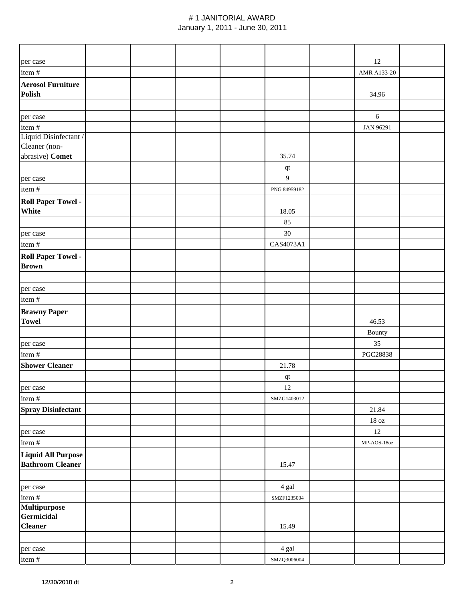|                                                     |  |  |                        | 12                |  |
|-----------------------------------------------------|--|--|------------------------|-------------------|--|
| per case                                            |  |  |                        |                   |  |
| item#                                               |  |  |                        | AMR A133-20       |  |
| <b>Aerosol Furniture</b><br>Polish                  |  |  |                        | 34.96             |  |
| per case                                            |  |  |                        | $6\,$             |  |
| item#                                               |  |  |                        | JAN 96291         |  |
| Liquid Disinfectant /<br>Cleaner (non-              |  |  |                        |                   |  |
| abrasive) Comet                                     |  |  | 35.74                  |                   |  |
|                                                     |  |  | $\mathbf{q}\mathbf{t}$ |                   |  |
| per case                                            |  |  | 9                      |                   |  |
| item#                                               |  |  | PNG 84959182           |                   |  |
| <b>Roll Paper Towel -</b><br>White                  |  |  | 18.05<br>85            |                   |  |
| per case                                            |  |  | 30                     |                   |  |
| item#                                               |  |  | CAS4073A1              |                   |  |
| <b>Roll Paper Towel -</b><br><b>Brown</b>           |  |  |                        |                   |  |
| per case                                            |  |  |                        |                   |  |
| item#                                               |  |  |                        |                   |  |
| <b>Brawny Paper</b><br><b>Towel</b>                 |  |  |                        | 46.53             |  |
|                                                     |  |  |                        | Bounty            |  |
| per case                                            |  |  |                        | 35                |  |
| item#                                               |  |  |                        | PGC28838          |  |
| <b>Shower Cleaner</b>                               |  |  | 21.78                  |                   |  |
|                                                     |  |  | qt                     |                   |  |
| per case                                            |  |  | $12\,$                 |                   |  |
| item#                                               |  |  | SMZG1403012            |                   |  |
| <b>Spray Disinfectant</b>                           |  |  |                        | 21.84             |  |
|                                                     |  |  |                        | $18\,\mathrm{oz}$ |  |
| per case                                            |  |  |                        | 12                |  |
| item #                                              |  |  |                        | MP-AOS-18oz       |  |
| Liquid All Purpose<br><b>Bathroom Cleaner</b>       |  |  | 15.47                  |                   |  |
|                                                     |  |  |                        |                   |  |
| per case                                            |  |  | 4 gal                  |                   |  |
| item #                                              |  |  | SMZF1235004            |                   |  |
| <b>Multipurpose</b><br>Germicidal<br><b>Cleaner</b> |  |  | 15.49                  |                   |  |
| per case                                            |  |  | 4 gal                  |                   |  |
| item#                                               |  |  | SMZQ3006004            |                   |  |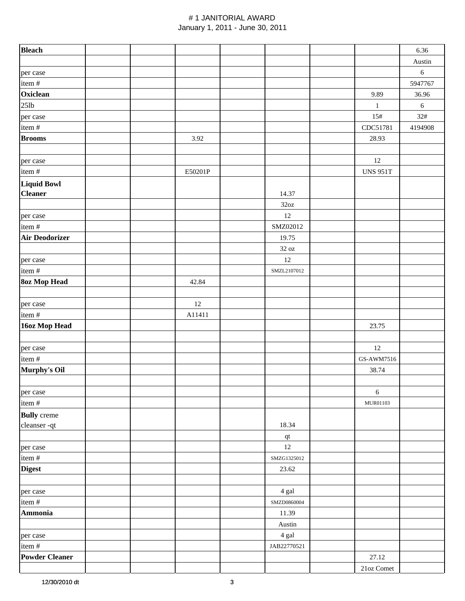| <b>Bleach</b>         |  |         |                   |                 | 6.36       |
|-----------------------|--|---------|-------------------|-----------------|------------|
|                       |  |         |                   |                 | Austin     |
| per case              |  |         |                   |                 | $\sqrt{6}$ |
| item #                |  |         |                   |                 | 5947767    |
| Oxiclean              |  |         |                   | 9.89            | 36.96      |
| $25$ lb               |  |         |                   | $\,1\,$         | $\sqrt{6}$ |
| per case              |  |         |                   | 15#             | 32#        |
| item#                 |  |         |                   | CDC51781        | 4194908    |
| <b>Brooms</b>         |  | 3.92    |                   | 28.93           |            |
|                       |  |         |                   |                 |            |
| per case              |  |         |                   | $12\,$          |            |
| item#                 |  | E50201P |                   | <b>UNS 951T</b> |            |
| <b>Liquid Bowl</b>    |  |         |                   |                 |            |
| <b>Cleaner</b>        |  |         | 14.37             |                 |            |
|                       |  |         | 32oz              |                 |            |
| per case              |  |         | 12                |                 |            |
| item#                 |  |         | SMZ02012          |                 |            |
| <b>Air Deodorizer</b> |  |         | 19.75             |                 |            |
|                       |  |         | $32\ \mathrm{oz}$ |                 |            |
| per case              |  |         | 12                |                 |            |
| item #                |  |         | SMZL2107012       |                 |            |
| <b>8oz Mop Head</b>   |  | 42.84   |                   |                 |            |
|                       |  |         |                   |                 |            |
| per case              |  | 12      |                   |                 |            |
| item #                |  | A11411  |                   |                 |            |
| 16oz Mop Head         |  |         |                   | 23.75           |            |
|                       |  |         |                   |                 |            |
| per case              |  |         |                   | 12              |            |
| item#                 |  |         |                   | GS-AWM7516      |            |
| Murphy's Oil          |  |         |                   | 38.74           |            |
|                       |  |         |                   |                 |            |
| per case              |  |         |                   | $\sqrt{6}$      |            |
| item#                 |  |         |                   | MUR01103        |            |
| <b>Bully</b> creme    |  |         |                   |                 |            |
| cleanser-qt           |  |         | 18.34             |                 |            |
|                       |  |         | $\bf qt$          |                 |            |
| per case              |  |         | $12\,$            |                 |            |
| item #                |  |         | SMZG1325012       |                 |            |
| <b>Digest</b>         |  |         | 23.62             |                 |            |
|                       |  |         |                   |                 |            |
| per case              |  |         | 4 gal             |                 |            |
| item #                |  |         | SMZD0860004       |                 |            |
| Ammonia               |  |         | 11.39             |                 |            |
|                       |  |         | Austin            |                 |            |
| per case              |  |         | 4 gal             |                 |            |
| item #                |  |         | JAB22770521       |                 |            |
| <b>Powder Cleaner</b> |  |         |                   | 27.12           |            |
|                       |  |         |                   | 21oz Comet      |            |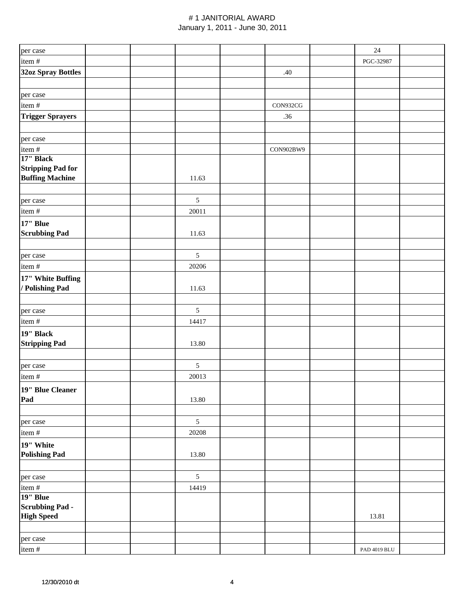| per case                                           |  |            |           | $24\,$       |  |
|----------------------------------------------------|--|------------|-----------|--------------|--|
| item#                                              |  |            |           | PGC-32987    |  |
| <b>32oz Spray Bottles</b>                          |  |            | .40       |              |  |
|                                                    |  |            |           |              |  |
| per case                                           |  |            |           |              |  |
| item#                                              |  |            | CON932CG  |              |  |
| <b>Trigger Sprayers</b>                            |  |            | .36       |              |  |
|                                                    |  |            |           |              |  |
| per case                                           |  |            |           |              |  |
| item#                                              |  |            | CON902BW9 |              |  |
| 17" Black                                          |  |            |           |              |  |
| <b>Stripping Pad for</b><br><b>Buffing Machine</b> |  | 11.63      |           |              |  |
|                                                    |  |            |           |              |  |
| per case                                           |  | $\sqrt{5}$ |           |              |  |
| item#                                              |  | 20011      |           |              |  |
| 17" Blue                                           |  |            |           |              |  |
| <b>Scrubbing Pad</b>                               |  | 11.63      |           |              |  |
|                                                    |  |            |           |              |  |
| per case                                           |  | $\sqrt{5}$ |           |              |  |
| item #                                             |  | 20206      |           |              |  |
| 17" White Buffing                                  |  |            |           |              |  |
| / Polishing Pad                                    |  | 11.63      |           |              |  |
|                                                    |  |            |           |              |  |
| per case                                           |  | 5          |           |              |  |
| item#                                              |  | 14417      |           |              |  |
| 19" Black                                          |  |            |           |              |  |
| <b>Stripping Pad</b>                               |  | 13.80      |           |              |  |
|                                                    |  |            |           |              |  |
| per case                                           |  | $\sqrt{5}$ |           |              |  |
| item#                                              |  | 20013      |           |              |  |
| 19" Blue Cleaner                                   |  |            |           |              |  |
| Pad                                                |  | 13.80      |           |              |  |
|                                                    |  |            |           |              |  |
| per case                                           |  | $\sqrt{5}$ |           |              |  |
| item#                                              |  | 20208      |           |              |  |
| 19" White                                          |  |            |           |              |  |
| <b>Polishing Pad</b>                               |  | 13.80      |           |              |  |
|                                                    |  |            |           |              |  |
| per case                                           |  | 5          |           |              |  |
| item#<br>19" Blue                                  |  | 14419      |           |              |  |
| <b>Scrubbing Pad-</b>                              |  |            |           |              |  |
| <b>High Speed</b>                                  |  |            |           | 13.81        |  |
|                                                    |  |            |           |              |  |
| per case                                           |  |            |           |              |  |
| item #                                             |  |            |           | PAD 4019 BLU |  |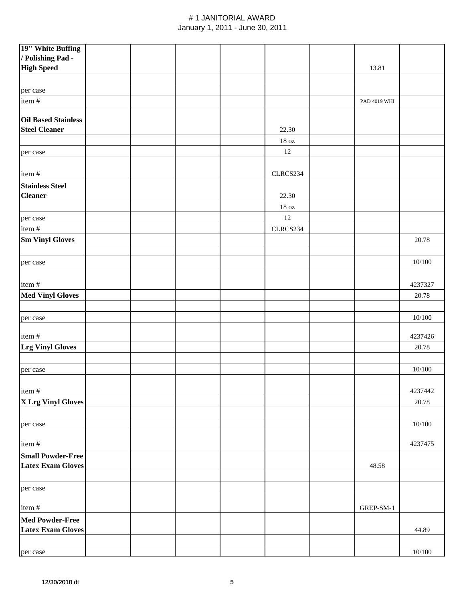| 19" White Buffing          |  |  |                   |              |          |
|----------------------------|--|--|-------------------|--------------|----------|
| / Polishing Pad -          |  |  |                   |              |          |
| <b>High Speed</b>          |  |  |                   | 13.81        |          |
|                            |  |  |                   |              |          |
| per case                   |  |  |                   |              |          |
| item#                      |  |  |                   | PAD 4019 WHI |          |
|                            |  |  |                   |              |          |
| <b>Oil Based Stainless</b> |  |  |                   |              |          |
| <b>Steel Cleaner</b>       |  |  | 22.30             |              |          |
|                            |  |  | $18\ \mathrm{oz}$ |              |          |
| per case                   |  |  | 12                |              |          |
|                            |  |  |                   |              |          |
| item#                      |  |  | CLRCS234          |              |          |
| <b>Stainless Steel</b>     |  |  |                   |              |          |
| <b>Cleaner</b>             |  |  | 22.30             |              |          |
|                            |  |  | $18\,\mathrm{oz}$ |              |          |
|                            |  |  | 12                |              |          |
| per case                   |  |  |                   |              |          |
| item #                     |  |  | CLRCS234          |              |          |
| <b>Sm Vinyl Gloves</b>     |  |  |                   |              | 20.78    |
|                            |  |  |                   |              |          |
| per case                   |  |  |                   |              | 10/100   |
|                            |  |  |                   |              |          |
| item#                      |  |  |                   |              | 4237327  |
| <b>Med Vinyl Gloves</b>    |  |  |                   |              | 20.78    |
|                            |  |  |                   |              |          |
| per case                   |  |  |                   |              | 10/100   |
|                            |  |  |                   |              |          |
| item#                      |  |  |                   |              | 4237426  |
| <b>Lrg Vinyl Gloves</b>    |  |  |                   |              | 20.78    |
|                            |  |  |                   |              |          |
| per case                   |  |  |                   |              | 10/100   |
|                            |  |  |                   |              |          |
| item#                      |  |  |                   |              | 4237442  |
| X Lrg Vinyl Gloves         |  |  |                   |              | 20.78    |
|                            |  |  |                   |              |          |
| per case                   |  |  |                   |              | $10/100$ |
|                            |  |  |                   |              |          |
| item#                      |  |  |                   |              | 4237475  |
| <b>Small Powder-Free</b>   |  |  |                   |              |          |
| <b>Latex Exam Gloves</b>   |  |  |                   | 48.58        |          |
|                            |  |  |                   |              |          |
| per case                   |  |  |                   |              |          |
|                            |  |  |                   |              |          |
| item#                      |  |  |                   | GREP-SM-1    |          |
| <b>Med Powder-Free</b>     |  |  |                   |              |          |
| <b>Latex Exam Gloves</b>   |  |  |                   |              | 44.89    |
|                            |  |  |                   |              |          |
|                            |  |  |                   |              |          |
| per case                   |  |  |                   |              | 10/100   |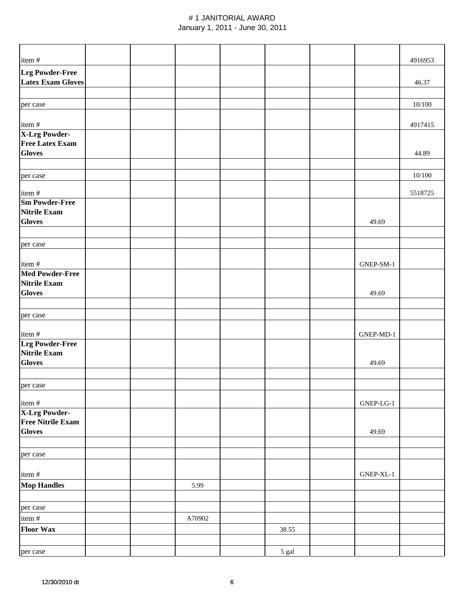| item#                                              |  |        |       |           | 4916953 |
|----------------------------------------------------|--|--------|-------|-----------|---------|
| <b>Lrg Powder-Free</b><br><b>Latex Exam Gloves</b> |  |        |       |           | 46.37   |
| per case                                           |  |        |       |           | 10/100  |
| item#                                              |  |        |       |           | 4917415 |
| <b>X-Lrg Powder-</b>                               |  |        |       |           |         |
| <b>Free Latex Exam</b>                             |  |        |       |           |         |
| <b>Gloves</b>                                      |  |        |       |           | 44.89   |
|                                                    |  |        |       |           | 10/100  |
| per case                                           |  |        |       |           |         |
| item#                                              |  |        |       |           | 5518725 |
| <b>Sm Powder-Free</b>                              |  |        |       |           |         |
| <b>Nitrile Exam</b><br><b>Gloves</b>               |  |        |       | 49.69     |         |
|                                                    |  |        |       |           |         |
| per case                                           |  |        |       |           |         |
| item#                                              |  |        |       | GNEP-SM-1 |         |
| <b>Med Powder-Free</b>                             |  |        |       |           |         |
| <b>Nitrile Exam</b>                                |  |        |       |           |         |
| <b>Gloves</b>                                      |  |        |       | 49.69     |         |
|                                                    |  |        |       |           |         |
| per case                                           |  |        |       |           |         |
| item#                                              |  |        |       | GNEP-MD-1 |         |
| <b>Lrg Powder-Free</b>                             |  |        |       |           |         |
| <b>Nitrile Exam</b><br><b>Gloves</b>               |  |        |       |           |         |
|                                                    |  |        |       | 49.69     |         |
| per case                                           |  |        |       |           |         |
| item #                                             |  |        |       | GNEP-LG-1 |         |
| X-Lrg Powder-                                      |  |        |       |           |         |
| <b>Free Nitrile Exam</b>                           |  |        |       |           |         |
| <b>Gloves</b>                                      |  |        |       | 49.69     |         |
|                                                    |  |        |       |           |         |
| per case                                           |  |        |       |           |         |
| item #                                             |  |        |       | GNEP-XL-1 |         |
| <b>Mop Handles</b>                                 |  | 5.99   |       |           |         |
|                                                    |  |        |       |           |         |
| per case                                           |  |        |       |           |         |
| item #                                             |  | A70902 |       |           |         |
| <b>Floor Wax</b>                                   |  |        | 38.55 |           |         |
|                                                    |  |        |       |           |         |
| per case                                           |  |        | 5 gal |           |         |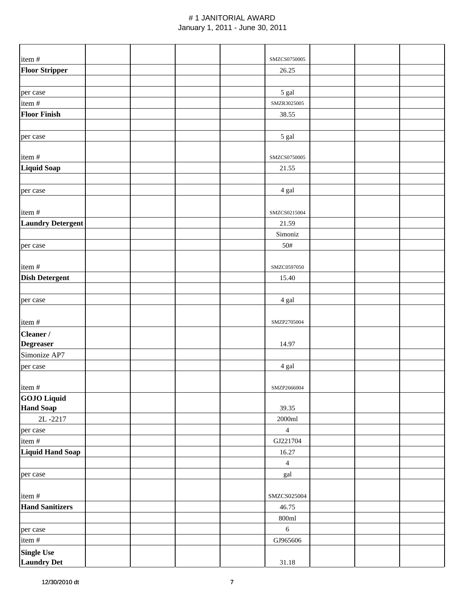| item#                                   |  |  | SMZCS0750005      |  |  |
|-----------------------------------------|--|--|-------------------|--|--|
| <b>Floor Stripper</b>                   |  |  | 26.25             |  |  |
|                                         |  |  |                   |  |  |
| per case                                |  |  | 5 gal             |  |  |
| item#                                   |  |  | SMZR3025005       |  |  |
| <b>Floor Finish</b>                     |  |  | 38.55             |  |  |
|                                         |  |  |                   |  |  |
| per case                                |  |  | 5 gal             |  |  |
|                                         |  |  |                   |  |  |
| item#                                   |  |  | SMZCS0750005      |  |  |
| <b>Liquid Soap</b>                      |  |  | 21.55             |  |  |
|                                         |  |  |                   |  |  |
| per case                                |  |  | 4 gal             |  |  |
|                                         |  |  |                   |  |  |
| item#                                   |  |  | SMZCS0215004      |  |  |
| <b>Laundry Detergent</b>                |  |  | 21.59             |  |  |
|                                         |  |  | Simoniz           |  |  |
| per case                                |  |  | 50#               |  |  |
|                                         |  |  |                   |  |  |
| item#                                   |  |  | SMZC0597050       |  |  |
| <b>Dish Detergent</b>                   |  |  | 15.40             |  |  |
|                                         |  |  |                   |  |  |
| per case                                |  |  | 4 gal             |  |  |
| item#                                   |  |  | SMZP2705004       |  |  |
|                                         |  |  |                   |  |  |
| Cleaner /<br><b>Degreaser</b>           |  |  | 14.97             |  |  |
| Simonize AP7                            |  |  |                   |  |  |
| per case                                |  |  | 4 gal             |  |  |
|                                         |  |  |                   |  |  |
| item#                                   |  |  | SMZP2666004       |  |  |
| <b>GOJO</b> Liquid                      |  |  |                   |  |  |
| <b>Hand Soap</b>                        |  |  | 39.35             |  |  |
| 2L-2217                                 |  |  | $2000 {\rm ml}$   |  |  |
| per case                                |  |  | $\overline{4}$    |  |  |
| item#                                   |  |  | GJ221704          |  |  |
| Liquid Hand Soap                        |  |  | 16.27             |  |  |
|                                         |  |  | $\overline{4}$    |  |  |
| per case                                |  |  | gal               |  |  |
|                                         |  |  |                   |  |  |
| item#                                   |  |  | SMZCS025004       |  |  |
| <b>Hand Sanitizers</b>                  |  |  | 46.75             |  |  |
|                                         |  |  | $800 \mathrm{ml}$ |  |  |
| per case                                |  |  | $\sqrt{6}$        |  |  |
| item#                                   |  |  | GJ965606          |  |  |
| <b>Single Use</b><br><b>Laundry Det</b> |  |  | $31.18\,$         |  |  |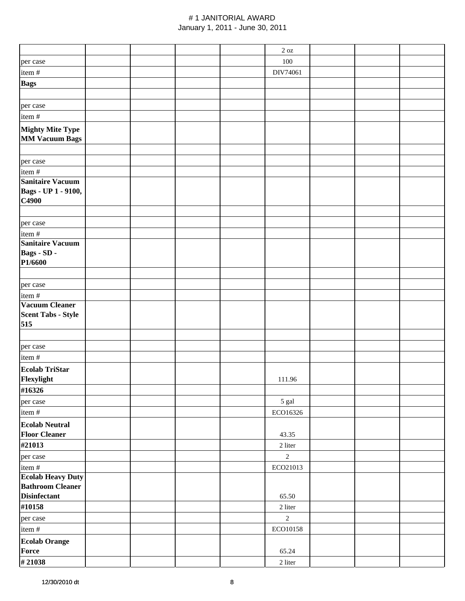|                                                |  |  | $2\ \mathrm{oz}$ |  |  |
|------------------------------------------------|--|--|------------------|--|--|
| per case                                       |  |  | 100              |  |  |
| item#                                          |  |  | DIV74061         |  |  |
| <b>Bags</b>                                    |  |  |                  |  |  |
|                                                |  |  |                  |  |  |
|                                                |  |  |                  |  |  |
| per case                                       |  |  |                  |  |  |
| item#                                          |  |  |                  |  |  |
| <b>Mighty Mite Type</b>                        |  |  |                  |  |  |
| <b>MM Vacuum Bags</b>                          |  |  |                  |  |  |
|                                                |  |  |                  |  |  |
| per case                                       |  |  |                  |  |  |
| item #                                         |  |  |                  |  |  |
| <b>Sanitaire Vacuum</b>                        |  |  |                  |  |  |
| Bags - UP 1 - 9100,                            |  |  |                  |  |  |
| C4900                                          |  |  |                  |  |  |
|                                                |  |  |                  |  |  |
| per case                                       |  |  |                  |  |  |
| item#                                          |  |  |                  |  |  |
| <b>Sanitaire Vacuum</b>                        |  |  |                  |  |  |
| Bags - SD -                                    |  |  |                  |  |  |
| P1/6600                                        |  |  |                  |  |  |
|                                                |  |  |                  |  |  |
| per case                                       |  |  |                  |  |  |
| item#                                          |  |  |                  |  |  |
| <b>Vacuum Cleaner</b>                          |  |  |                  |  |  |
| <b>Scent Tabs - Style</b>                      |  |  |                  |  |  |
| 515                                            |  |  |                  |  |  |
|                                                |  |  |                  |  |  |
| per case                                       |  |  |                  |  |  |
| item #                                         |  |  |                  |  |  |
| <b>Ecolab TriStar</b>                          |  |  |                  |  |  |
| Flexylight                                     |  |  | 111.96           |  |  |
| #16326                                         |  |  |                  |  |  |
| per case                                       |  |  | 5 gal            |  |  |
| item#                                          |  |  | ECO16326         |  |  |
|                                                |  |  |                  |  |  |
| <b>Ecolab Neutral</b>                          |  |  |                  |  |  |
| <b>Floor Cleaner</b>                           |  |  | 43.35            |  |  |
| #21013                                         |  |  | 2 liter          |  |  |
| per case                                       |  |  | $\overline{2}$   |  |  |
| item #                                         |  |  | ECO21013         |  |  |
| <b>Ecolab Heavy Duty</b>                       |  |  |                  |  |  |
| <b>Bathroom Cleaner</b><br><b>Disinfectant</b> |  |  |                  |  |  |
|                                                |  |  | 65.50            |  |  |
| #10158                                         |  |  | 2 liter          |  |  |
| per case                                       |  |  | $\overline{2}$   |  |  |
| item #                                         |  |  | ECO10158         |  |  |
| <b>Ecolab Orange</b>                           |  |  |                  |  |  |
| Force                                          |  |  | 65.24            |  |  |
| #21038                                         |  |  | $2$ liter        |  |  |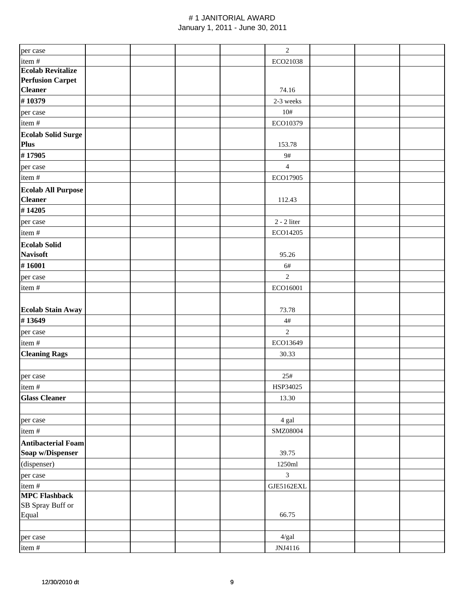|                           |  |  | $\sqrt{2}$     |  |  |
|---------------------------|--|--|----------------|--|--|
| per case                  |  |  |                |  |  |
| item#                     |  |  | ECO21038       |  |  |
| <b>Ecolab Revitalize</b>  |  |  |                |  |  |
| <b>Perfusion Carpet</b>   |  |  |                |  |  |
| <b>Cleaner</b>            |  |  | 74.16          |  |  |
| #10379                    |  |  | 2-3 weeks      |  |  |
| per case                  |  |  | 10#            |  |  |
| item#                     |  |  | ECO10379       |  |  |
| <b>Ecolab Solid Surge</b> |  |  |                |  |  |
| Plus                      |  |  | 153.78         |  |  |
| #17905                    |  |  | 9#             |  |  |
| per case                  |  |  | $\overline{4}$ |  |  |
| item#                     |  |  | ECO17905       |  |  |
|                           |  |  |                |  |  |
| <b>Ecolab All Purpose</b> |  |  |                |  |  |
| <b>Cleaner</b>            |  |  | 112.43         |  |  |
| #14205                    |  |  |                |  |  |
| per case                  |  |  | $2 - 2$ liter  |  |  |
| item #                    |  |  | ECO14205       |  |  |
| <b>Ecolab Solid</b>       |  |  |                |  |  |
| <b>Navisoft</b>           |  |  | 95.26          |  |  |
| #16001                    |  |  | 6#             |  |  |
| per case                  |  |  | $\overline{2}$ |  |  |
| item#                     |  |  | ECO16001       |  |  |
|                           |  |  |                |  |  |
|                           |  |  |                |  |  |
| <b>Ecolab Stain Away</b>  |  |  | 73.78          |  |  |
| #13649                    |  |  | 4#             |  |  |
| per case                  |  |  | $\overline{2}$ |  |  |
| item #                    |  |  | ECO13649       |  |  |
| <b>Cleaning Rags</b>      |  |  | 30.33          |  |  |
|                           |  |  |                |  |  |
| per case                  |  |  | 25#            |  |  |
| item #                    |  |  | HSP34025       |  |  |
| <b>Glass Cleaner</b>      |  |  | 13.30          |  |  |
|                           |  |  |                |  |  |
| per case                  |  |  | 4 gal          |  |  |
| item#                     |  |  | SMZ08004       |  |  |
|                           |  |  |                |  |  |
| <b>Antibacterial Foam</b> |  |  |                |  |  |
| Soap w/Dispenser          |  |  | 39.75          |  |  |
| (dispenser)               |  |  | 1250ml         |  |  |
| per case                  |  |  | $\mathfrak{Z}$ |  |  |
| item #                    |  |  | GJE5162EXL     |  |  |
| <b>MPC Flashback</b>      |  |  |                |  |  |
| SB Spray Buff or          |  |  |                |  |  |
| Equal                     |  |  | 66.75          |  |  |
|                           |  |  |                |  |  |
| per case                  |  |  | 4/gal          |  |  |
| item#                     |  |  | JNJ4116        |  |  |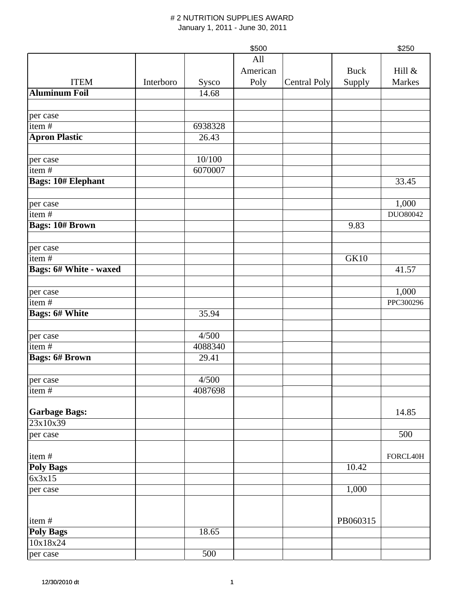|                           |           |         | \$500    |                     |             | \$250     |
|---------------------------|-----------|---------|----------|---------------------|-------------|-----------|
|                           |           |         | All      |                     |             |           |
|                           |           |         | American |                     | <b>Buck</b> | Hill &    |
| <b>ITEM</b>               | Interboro | Sysco   | Poly     | <b>Central Poly</b> | Supply      | Markes    |
| <b>Aluminum Foil</b>      |           | 14.68   |          |                     |             |           |
|                           |           |         |          |                     |             |           |
| per case                  |           |         |          |                     |             |           |
| item $#$                  |           | 6938328 |          |                     |             |           |
| <b>Apron Plastic</b>      |           | 26.43   |          |                     |             |           |
|                           |           |         |          |                     |             |           |
| per case                  |           | 10/100  |          |                     |             |           |
| item $\frac{1}{t}$        |           | 6070007 |          |                     |             |           |
| <b>Bags: 10# Elephant</b> |           |         |          |                     |             | 33.45     |
|                           |           |         |          |                     |             |           |
| per case                  |           |         |          |                     |             | 1,000     |
| item#                     |           |         |          |                     |             | DUO80042  |
| <b>Bags: 10# Brown</b>    |           |         |          |                     | 9.83        |           |
|                           |           |         |          |                     |             |           |
| per case                  |           |         |          |                     |             |           |
| item#                     |           |         |          |                     | <b>GK10</b> |           |
| Bags: 6# White - waxed    |           |         |          |                     |             | 41.57     |
|                           |           |         |          |                     |             |           |
| per case                  |           |         |          |                     |             | 1,000     |
| item#                     |           |         |          |                     |             | PPC300296 |
| <b>Bags: 6# White</b>     |           | 35.94   |          |                     |             |           |
|                           |           |         |          |                     |             |           |
| per case                  |           | 4/500   |          |                     |             |           |
| item#                     |           | 4088340 |          |                     |             |           |
| <b>Bags: 6# Brown</b>     |           | 29.41   |          |                     |             |           |
|                           |           | 4/500   |          |                     |             |           |
| per case                  |           |         |          |                     |             |           |
| item #                    |           | 4087698 |          |                     |             |           |
| <b>Garbage Bags:</b>      |           |         |          |                     |             | 14.85     |
| 23x10x39                  |           |         |          |                     |             |           |
| per case                  |           |         |          |                     |             | 500       |
|                           |           |         |          |                     |             |           |
| item#                     |           |         |          |                     |             | FORCL40H  |
| <b>Poly Bags</b>          |           |         |          |                     | 10.42       |           |
| 6x3x15                    |           |         |          |                     |             |           |
| per case                  |           |         |          |                     | 1,000       |           |
|                           |           |         |          |                     |             |           |
|                           |           |         |          |                     |             |           |
| item#                     |           |         |          |                     | PB060315    |           |
| <b>Poly Bags</b>          |           | 18.65   |          |                     |             |           |
| 10x18x24                  |           |         |          |                     |             |           |
| per case                  |           | 500     |          |                     |             |           |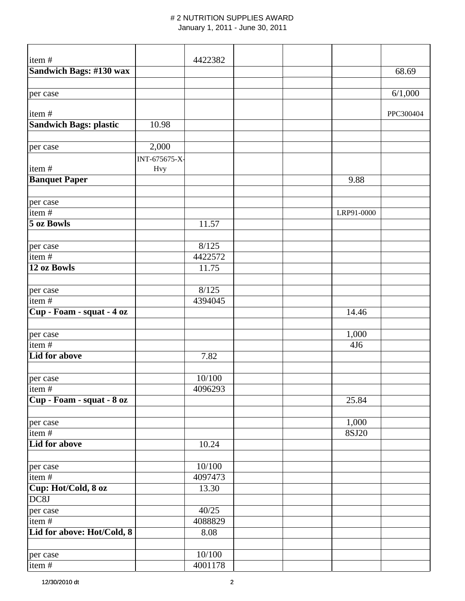| item#                      |               | 4422382 |  |                 |           |
|----------------------------|---------------|---------|--|-----------------|-----------|
| Sandwich Bags: #130 wax    |               |         |  |                 | 68.69     |
|                            |               |         |  |                 |           |
|                            |               |         |  |                 | 6/1,000   |
| per case                   |               |         |  |                 |           |
| item#                      |               |         |  |                 | PPC300404 |
| Sandwich Bags: plastic     | 10.98         |         |  |                 |           |
|                            |               |         |  |                 |           |
| per case                   | 2,000         |         |  |                 |           |
|                            | INT-675675-X- |         |  |                 |           |
| item#                      | <b>Hvy</b>    |         |  |                 |           |
| <b>Banquet Paper</b>       |               |         |  | 9.88            |           |
|                            |               |         |  |                 |           |
| per case                   |               |         |  |                 |           |
| item#                      |               |         |  | LRP91-0000      |           |
| 5 oz Bowls                 |               | 11.57   |  |                 |           |
|                            |               |         |  |                 |           |
| per case                   |               | 8/125   |  |                 |           |
| item#                      |               | 4422572 |  |                 |           |
| 12 oz Bowls                |               | 11.75   |  |                 |           |
|                            |               |         |  |                 |           |
| per case                   |               | 8/125   |  |                 |           |
| item#                      |               | 4394045 |  |                 |           |
| Cup - Foam - squat - 4 oz  |               |         |  | 14.46           |           |
|                            |               |         |  |                 |           |
| per case                   |               |         |  | 1,000           |           |
| item#                      |               |         |  | 4J <sub>6</sub> |           |
| <b>Lid for above</b>       |               | 7.82    |  |                 |           |
|                            |               |         |  |                 |           |
| per case                   |               | 10/100  |  |                 |           |
| item#                      |               | 4096293 |  |                 |           |
| Cup - Foam - squat - 8 oz  |               |         |  | 25.84           |           |
|                            |               |         |  |                 |           |
| per case                   |               |         |  | 1,000           |           |
| item#                      |               |         |  | 8SJ20           |           |
| Lid for above              |               | 10.24   |  |                 |           |
|                            |               |         |  |                 |           |
| per case                   |               | 10/100  |  |                 |           |
| item#                      |               | 4097473 |  |                 |           |
| Cup: Hot/Cold, 8 oz        |               | 13.30   |  |                 |           |
| DC8J                       |               |         |  |                 |           |
| per case                   |               | 40/25   |  |                 |           |
| item#                      |               | 4088829 |  |                 |           |
| Lid for above: Hot/Cold, 8 |               | 8.08    |  |                 |           |
|                            |               |         |  |                 |           |
| per case                   |               | 10/100  |  |                 |           |
| item#                      |               | 4001178 |  |                 |           |
|                            |               |         |  |                 |           |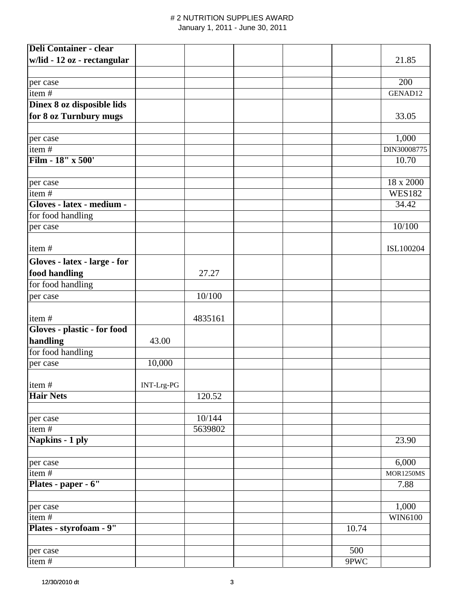| <b>Deli Container - clear</b> |            |         |  |       |                  |
|-------------------------------|------------|---------|--|-------|------------------|
| w/lid - 12 oz - rectangular   |            |         |  |       | 21.85            |
|                               |            |         |  |       |                  |
| per case                      |            |         |  |       | 200              |
| item#                         |            |         |  |       | GENAD12          |
| Dinex 8 oz disposible lids    |            |         |  |       |                  |
| for 8 oz Turnbury mugs        |            |         |  |       | 33.05            |
|                               |            |         |  |       |                  |
| per case                      |            |         |  |       | 1,000            |
| item#                         |            |         |  |       | DIN30008775      |
| Film - 18" x 500'             |            |         |  |       | 10.70            |
|                               |            |         |  |       |                  |
| per case                      |            |         |  |       | 18 x 2000        |
| item#                         |            |         |  |       | <b>WES182</b>    |
| Gloves - latex - medium -     |            |         |  |       | 34.42            |
| for food handling             |            |         |  |       |                  |
| per case                      |            |         |  |       | 10/100           |
|                               |            |         |  |       |                  |
| item#                         |            |         |  |       | ISL100204        |
| Gloves - latex - large - for  |            |         |  |       |                  |
| food handling                 |            | 27.27   |  |       |                  |
| for food handling             |            |         |  |       |                  |
| per case                      |            | 10/100  |  |       |                  |
|                               |            |         |  |       |                  |
| item#                         |            | 4835161 |  |       |                  |
| Gloves - plastic - for food   |            |         |  |       |                  |
| handling                      | 43.00      |         |  |       |                  |
| for food handling             |            |         |  |       |                  |
| per case                      | 10,000     |         |  |       |                  |
|                               |            |         |  |       |                  |
| item#                         | INT-Lrg-PG |         |  |       |                  |
| <b>Hair Nets</b>              |            | 120.52  |  |       |                  |
|                               |            |         |  |       |                  |
| per case                      |            | 10/144  |  |       |                  |
| item#                         |            | 5639802 |  |       |                  |
| Napkins - 1 ply               |            |         |  |       | 23.90            |
|                               |            |         |  |       |                  |
| per case                      |            |         |  |       | 6,000            |
| item#                         |            |         |  |       | <b>MOR1250MS</b> |
| Plates - paper - 6"           |            |         |  |       | 7.88             |
|                               |            |         |  |       |                  |
| per case                      |            |         |  |       | 1,000            |
| item#                         |            |         |  |       | WIN6100          |
| Plates - styrofoam - 9"       |            |         |  | 10.74 |                  |
|                               |            |         |  |       |                  |
| per case                      |            |         |  | 500   |                  |
| item#                         |            |         |  | 9PWC  |                  |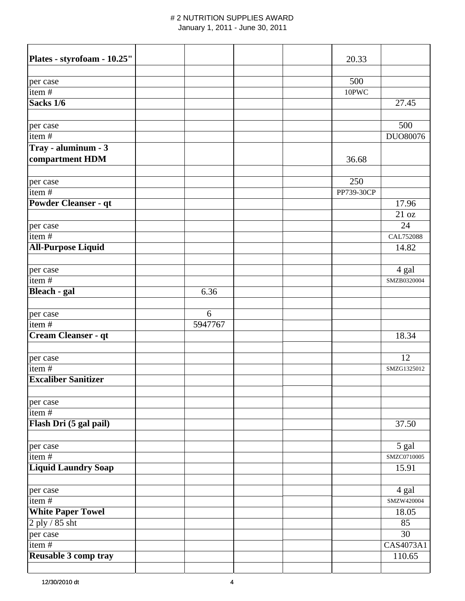| Plates - styrofoam - 10.25" |         |  | 20.33      |             |
|-----------------------------|---------|--|------------|-------------|
|                             |         |  |            |             |
| per case                    |         |  | 500        |             |
| item#                       |         |  | 10PWC      |             |
| Sacks 1/6                   |         |  |            | 27.45       |
|                             |         |  |            |             |
| per case                    |         |  |            | 500         |
| item#                       |         |  |            | DUO80076    |
| Tray - aluminum - 3         |         |  |            |             |
| compartment HDM             |         |  | 36.68      |             |
|                             |         |  |            |             |
| per case                    |         |  | 250        |             |
| item#                       |         |  | PP739-30CP |             |
| <b>Powder Cleanser - qt</b> |         |  |            | 17.96       |
|                             |         |  |            | 21 oz       |
| per case                    |         |  |            | 24          |
| item#                       |         |  |            | CAL752088   |
| <b>All-Purpose Liquid</b>   |         |  |            | 14.82       |
|                             |         |  |            |             |
| per case                    |         |  |            | 4 gal       |
| item#                       |         |  |            | SMZB0320004 |
| <b>Bleach - gal</b>         | 6.36    |  |            |             |
|                             | 6       |  |            |             |
| per case<br>item $#$        | 5947767 |  |            |             |
| Cream Cleanser - qt         |         |  |            | 18.34       |
|                             |         |  |            |             |
| per case                    |         |  |            | 12          |
| item#                       |         |  |            | SMZG1325012 |
| <b>Excaliber Sanitizer</b>  |         |  |            |             |
|                             |         |  |            |             |
| per case                    |         |  |            |             |
| item#                       |         |  |            |             |
| Flash Dri (5 gal pail)      |         |  |            | 37.50       |
|                             |         |  |            |             |
| per case                    |         |  |            | 5 gal       |
| item#                       |         |  |            | SMZC0710005 |
| <b>Liquid Laundry Soap</b>  |         |  |            | 15.91       |
|                             |         |  |            |             |
| per case                    |         |  |            | 4 gal       |
| item#                       |         |  |            | SMZW420004  |
| <b>White Paper Towel</b>    |         |  |            | 18.05       |
| 2 ply / 85 sht              |         |  |            | 85          |
| per case                    |         |  |            | 30          |
| item#                       |         |  |            | CAS4073A1   |
| Reusable 3 comp tray        |         |  |            | 110.65      |
|                             |         |  |            |             |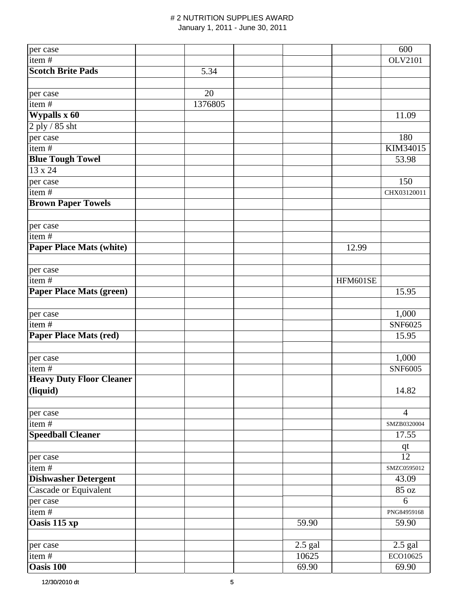| per case                        |         |           |          | 600            |
|---------------------------------|---------|-----------|----------|----------------|
| item $\frac{1}{t}$              |         |           |          | OLV2101        |
| <b>Scotch Brite Pads</b>        | 5.34    |           |          |                |
|                                 |         |           |          |                |
| per case                        | 20      |           |          |                |
| item#                           | 1376805 |           |          |                |
| Wypalls x 60                    |         |           |          | 11.09          |
| 2 ply / 85 sht                  |         |           |          |                |
| per case                        |         |           |          | 180            |
| item#                           |         |           |          | KIM34015       |
| <b>Blue Tough Towel</b>         |         |           |          | 53.98          |
| 13 x 24                         |         |           |          |                |
| per case                        |         |           |          | 150            |
| item $\frac{1}{4}$              |         |           |          | CHX03120011    |
| <b>Brown Paper Towels</b>       |         |           |          |                |
|                                 |         |           |          |                |
| per case                        |         |           |          |                |
| item $\frac{1}{4}$              |         |           |          |                |
| <b>Paper Place Mats (white)</b> |         |           | 12.99    |                |
|                                 |         |           |          |                |
| per case                        |         |           |          |                |
| item#                           |         |           | HFM601SE |                |
| <b>Paper Place Mats (green)</b> |         |           |          | 15.95          |
|                                 |         |           |          |                |
| per case                        |         |           |          | 1,000          |
| item#                           |         |           |          | SNF6025        |
| <b>Paper Place Mats (red)</b>   |         |           |          | 15.95          |
|                                 |         |           |          |                |
| per case                        |         |           |          | 1,000          |
| item#                           |         |           |          | <b>SNF6005</b> |
| <b>Heavy Duty Floor Cleaner</b> |         |           |          |                |
| (liquid)                        |         |           |          | 14.82          |
|                                 |         |           |          |                |
| per case                        |         |           |          | $\overline{4}$ |
| item $\frac{1}{4}$              |         |           |          | SMZB0320004    |
| <b>Speedball Cleaner</b>        |         |           |          | 17.55          |
|                                 |         |           |          | $q$ t          |
| per case                        |         |           |          | 12             |
| item#                           |         |           |          | SMZC0595012    |
| <b>Dishwasher Detergent</b>     |         |           |          | 43.09          |
| Cascade or Equivalent           |         |           |          | 85 oz          |
| per case                        |         |           |          | 6              |
| item#                           |         |           |          | PNG84959168    |
| Oasis 115 xp                    |         | 59.90     |          | 59.90          |
|                                 |         |           |          |                |
| per case                        |         | $2.5$ gal |          | $2.5$ gal      |
| item#                           |         | 10625     |          | ECO10625       |
| <b>Oasis 100</b>                |         | 69.90     |          | 69.90          |